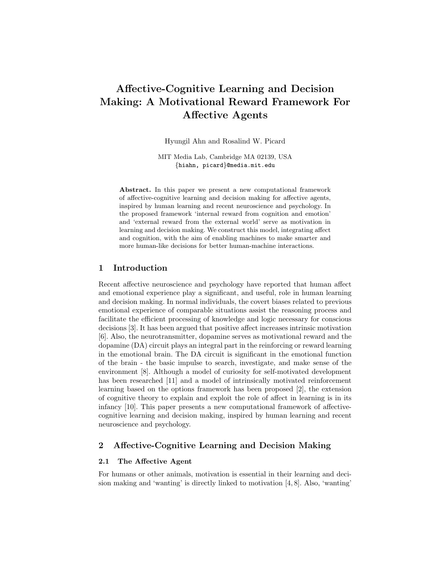# Affective-Cognitive Learning and Decision Making: A Motivational Reward Framework For Affective Agents

Hyungil Ahn and Rosalind W. Picard

MIT Media Lab, Cambridge MA 02139, USA {hiahn, picard}@media.mit.edu

Abstract. In this paper we present a new computational framework of affective-cognitive learning and decision making for affective agents, inspired by human learning and recent neuroscience and psychology. In the proposed framework 'internal reward from cognition and emotion' and 'external reward from the external world' serve as motivation in learning and decision making. We construct this model, integrating affect and cognition, with the aim of enabling machines to make smarter and more human-like decisions for better human-machine interactions.

# 1 Introduction

Recent affective neuroscience and psychology have reported that human affect and emotional experience play a significant, and useful, role in human learning and decision making. In normal individuals, the covert biases related to previous emotional experience of comparable situations assist the reasoning process and facilitate the efficient processing of knowledge and logic necessary for conscious decisions [3]. It has been argued that positive affect increases intrinsic motivation [6]. Also, the neurotransmitter, dopamine serves as motivational reward and the dopamine (DA) circuit plays an integral part in the reinforcing or reward learning in the emotional brain. The DA circuit is significant in the emotional function of the brain - the basic impulse to search, investigate, and make sense of the environment [8]. Although a model of curiosity for self-motivated development has been researched [11] and a model of intrinsically motivated reinforcement learning based on the options framework has been proposed [2], the extension of cognitive theory to explain and exploit the role of affect in learning is in its infancy [10]. This paper presents a new computational framework of affectivecognitive learning and decision making, inspired by human learning and recent neuroscience and psychology.

# 2 Affective-Cognitive Learning and Decision Making

### 2.1 The Affective Agent

For humans or other animals, motivation is essential in their learning and decision making and 'wanting' is directly linked to motivation [4, 8]. Also, 'wanting'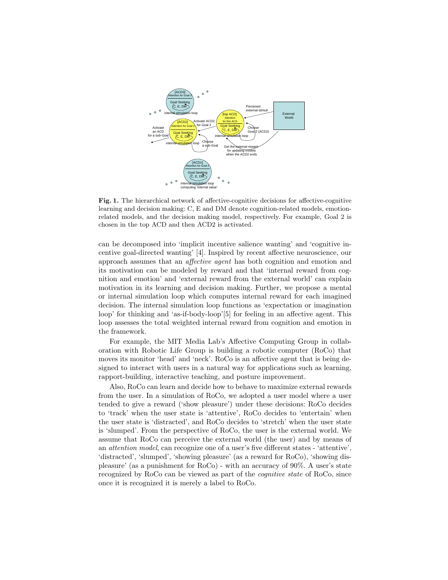

Fig. 1. The hierarchical network of affective-cognitive decisions for affective-cognitive learning and decision making: C, E and DM denote cognition-related models, emotionrelated models, and the decision making model, respectively. For example, Goal 2 is chosen in the top ACD and then ACD2 is activated.

can be decomposed into 'implicit incentive salience wanting' and 'cognitive incentive goal-directed wanting' [4]. Inspired by recent affective neuroscience, our approach assumes that an affective agent has both cognition and emotion and its motivation can be modeled by reward and that 'internal reward from cognition and emotion' and 'external reward from the external world' can explain motivation in its learning and decision making. Further, we propose a mental or internal simulation loop which computes internal reward for each imagined decision. The internal simulation loop functions as 'expectation or imagination loop' for thinking and 'as-if-body-loop'[5] for feeling in an affective agent. This loop assesses the total weighted internal reward from cognition and emotion in the framework.

For example, the MIT Media Lab's Affective Computing Group in collaboration with Robotic Life Group is building a robotic computer (RoCo) that moves its monitor 'head' and 'neck'. RoCo is an affective agent that is being designed to interact with users in a natural way for applications such as learning, rapport-building, interactive teaching, and posture improvement.

Also, RoCo can learn and decide how to behave to maximize external rewards from the user. In a simulation of RoCo, we adopted a user model where a user tended to give a reward ('show pleasure') under these decisions: RoCo decides to 'track' when the user state is 'attentive', RoCo decides to 'entertain' when the user state is 'distracted', and RoCo decides to 'stretch' when the user state is 'slumped'. From the perspective of RoCo, the user is the external world. We assume that RoCo can perceive the external world (the user) and by means of an attention model, can recognize one of a user's five different states - 'attentive', 'distracted', 'slumped', 'showing pleasure' (as a reward for RoCo), 'showing displeasure' (as a punishment for RoCo) - with an accuracy of 90%. A user's state recognized by RoCo can be viewed as part of the cognitive state of RoCo, since once it is recognized it is merely a label to RoCo.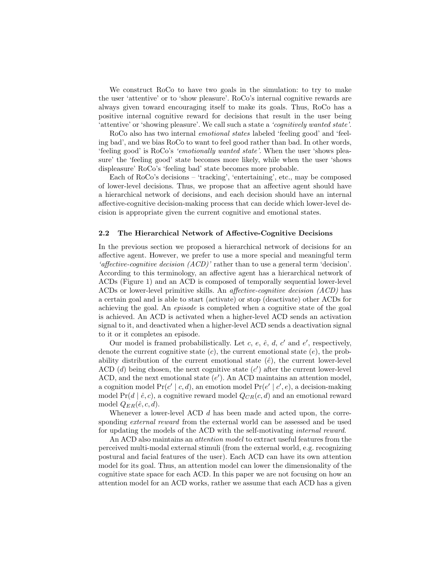We construct RoCo to have two goals in the simulation: to try to make the user 'attentive' or to 'show pleasure'. RoCo's internal cognitive rewards are always given toward encouraging itself to make its goals. Thus, RoCo has a positive internal cognitive reward for decisions that result in the user being 'attentive' or 'showing pleasure'. We call such a state a 'cognitively wanted state'.

RoCo also has two internal emotional states labeled 'feeling good' and 'feeling bad', and we bias RoCo to want to feel good rather than bad. In other words, 'feeling good' is RoCo's 'emotionally wanted state'. When the user 'shows pleasure' the 'feeling good' state becomes more likely, while when the user 'shows displeasure' RoCo's 'feeling bad' state becomes more probable.

Each of RoCo's decisions – 'tracking', 'entertaining', etc., may be composed of lower-level decisions. Thus, we propose that an affective agent should have a hierarchical network of decisions, and each decision should have an internal affective-cognitive decision-making process that can decide which lower-level decision is appropriate given the current cognitive and emotional states.

## 2.2 The Hierarchical Network of Affective-Cognitive Decisions

In the previous section we proposed a hierarchical network of decisions for an affective agent. However, we prefer to use a more special and meaningful term 'affective-cognitive decision (ACD)' rather than to use a general term 'decision'. According to this terminology, an affective agent has a hierarchical network of ACDs (Figure 1) and an ACD is composed of temporally sequential lower-level ACDs or lower-level primitive skills. An affective-cognitive decision (ACD) has a certain goal and is able to start (activate) or stop (deactivate) other ACDs for achieving the goal. An episode is completed when a cognitive state of the goal is achieved. An ACD is activated when a higher-level ACD sends an activation signal to it, and deactivated when a higher-level ACD sends a deactivation signal to it or it completes an episode.

Our model is framed probabilistically. Let  $c, e, \hat{e}, d, c'$  and  $e'$ , respectively, denote the current cognitive state  $(c)$ , the current emotional state  $(e)$ , the probability distribution of the current emotional state  $(\hat{e})$ , the current lower-level ACD  $(d)$  being chosen, the next cognitive state  $(c')$  after the current lower-level ACD, and the next emotional state  $(e')$ . An ACD maintains an attention model, a cognition model  $Pr(c' | c, d)$ , an emotion model  $Pr(e' | c', e)$ , a decision-making model  $Pr(d | \hat{e}, c)$ , a cognitive reward model  $Q_{CR}(c,d)$  and an emotional reward model  $Q_{ER}(\hat{e}, c, d)$ .

Whenever a lower-level ACD  $d$  has been made and acted upon, the corresponding *external reward* from the external world can be assessed and be used for updating the models of the ACD with the self-motivating internal reward.

An ACD also maintains an attention model to extract useful features from the perceived multi-modal external stimuli (from the external world, e.g. recognizing postural and facial features of the user). Each ACD can have its own attention model for its goal. Thus, an attention model can lower the dimensionality of the cognitive state space for each ACD. In this paper we are not focusing on how an attention model for an ACD works, rather we assume that each ACD has a given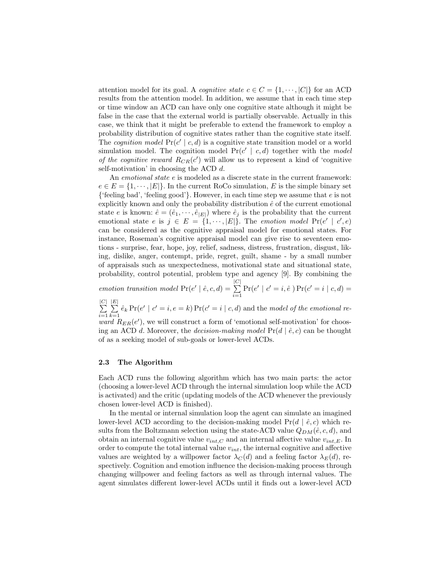attention model for its goal. A *cognitive state*  $c \in C = \{1, \dots, |C|\}$  for an ACD results from the attention model. In addition, we assume that in each time step or time window an ACD can have only one cognitive state although it might be false in the case that the external world is partially observable. Actually in this case, we think that it might be preferable to extend the framework to employ a probability distribution of cognitive states rather than the cognitive state itself. The cognition model  $Pr(c' | c, d)$  is a cognitive state transition model or a world simulation model. The cognition model  $Pr(c' | c, d)$  together with the model of the cognitive reward  $R_{CR}(c')$  will allow us to represent a kind of 'cognitive self-motivation' in choosing the ACD  $d$ .

An *emotional state* e is modeled as a discrete state in the current framework:  $e \in E = \{1, \dots, |E|\}$ . In the current RoCo simulation, E is the simple binary set  ${$ '{\text{feeling bad', 'feeling good'}}. However, in each time step we assume that e is not explicitly known and only the probability distribution  $\hat{e}$  of the current emotional state e is known:  $\hat{e} = (\hat{e}_1, \dots, \hat{e}_{|E|})$  where  $\hat{e}_j$  is the probability that the current emotional state e is  $j \in E = \{1, \dots, |E|\}$ . The emotion model  $Pr(e' | c', e)$ can be considered as the cognitive appraisal model for emotional states. For instance, Roseman's cognitive appraisal model can give rise to seventeen emotions - surprise, fear, hope, joy, relief, sadness, distress, frustration, disgust, liking, dislike, anger, contempt, pride, regret, guilt, shame - by a small number of appraisals such as unexpectedness, motivational state and situational state, probability, control potential, problem type and agency [9]. By combining the

emotion transition model  $Pr(e' | \hat{e}, c, d) = \sum_{i=1}^{|C|}$  $i=1$  $Pr(e' | c' = i, \hat{e}) Pr(c' = i | c, d) =$ 

 $\sum_{i=1}^{|C|}$  $i=1$  $\frac{|E|}{\sum}$  $\sum_{k=1}^{\infty} \hat{e}_k \Pr(e' \mid c' = i, e = k) \Pr(c' = i \mid c, d)$  and the model of the emotional re-

ward  $R_{ER}(e')$ , we will construct a form of 'emotional self-motivation' for choosing an ACD d. Moreover, the decision-making model  $Pr(d | \hat{e}, c)$  can be thought of as a seeking model of sub-goals or lower-level ACDs.

# 2.3 The Algorithm

Each ACD runs the following algorithm which has two main parts: the actor (choosing a lower-level ACD through the internal simulation loop while the ACD is activated) and the critic (updating models of the ACD whenever the previously chosen lower-level ACD is finished).

In the mental or internal simulation loop the agent can simulate an imagined lower-level ACD according to the decision-making model  $Pr(d | \hat{e}, c)$  which results from the Boltzmann selection using the state-ACD value  $Q_{DM}(\hat{e}, c, d)$ , and obtain an internal cognitive value  $v_{int,C}$  and an internal affective value  $v_{int,E}$ . In order to compute the total internal value  $v_{int}$ , the internal cognitive and affective values are weighted by a willpower factor  $\lambda_C(d)$  and a feeling factor  $\lambda_E(d)$ , respectively. Cognition and emotion influence the decision-making process through changing willpower and feeling factors as well as through internal values. The agent simulates different lower-level ACDs until it finds out a lower-level ACD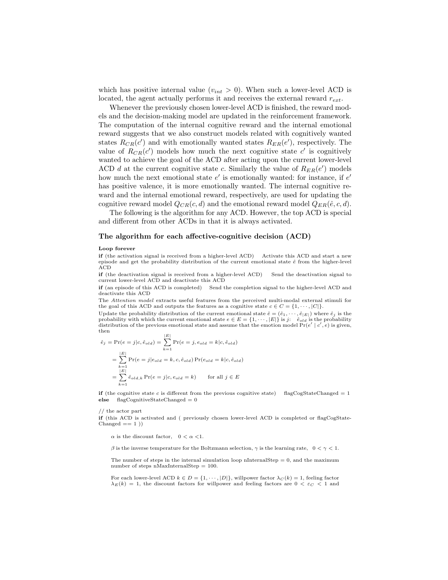which has positive internal value ( $v_{int} > 0$ ). When such a lower-level ACD is located, the agent actually performs it and receives the external reward  $r_{ext}$ .

Whenever the previously chosen lower-level ACD is finished, the reward models and the decision-making model are updated in the reinforcement framework. The computation of the internal cognitive reward and the internal emotional reward suggests that we also construct models related with cognitively wanted states  $R_{CR}(c')$  and with emotionally wanted states  $R_{ER}(e')$ , respectively. The value of  $R_{CR}(c')$  models how much the next cognitive state  $c'$  is cognitively wanted to achieve the goal of the ACD after acting upon the current lower-level ACD d at the current cognitive state c. Similarly the value of  $R_{ER}(e')$  models how much the next emotional state  $e'$  is emotionally wanted: for instance, if  $e'$ has positive valence, it is more emotionally wanted. The internal cognitive reward and the internal emotional reward, respectively, are used for updating the cognitive reward model  $Q_{CR}(c,d)$  and the emotional reward model  $Q_{ER}(\hat{e}, c, d)$ .

The following is the algorithm for any ACD. However, the top ACD is special and different from other ACDs in that it is always activated.

### The algorithm for each affective-cognitive decision (ACD)

#### Loop forever

if (the activation signal is received from a higher-level ACD) Activate this ACD and start a new episode and get the probability distribution of the current emotional state  $\hat{e}$  from the higher-level ACD

if (the deactivation signal is received from a higher-level ACD) Send the deactivation signal to current lower-level ACD and deactivate this ACD

if (an episode of this ACD is completed) Send the completion signal to the higher-level ACD and deactivate this ACD

The Attention model extracts useful features from the perceived multi-modal external stimuli for the goal of this ACD and outputs the features as a cognitive state  $c \in C = \{1, \dots, |C|\}.$ 

Update the probability distribution of the current emotional state  $\hat{e} = (\hat{e}_1, \dots, \hat{e}_{|E|})$  where  $\hat{e}_j$  is the probability with which the current emotional state  $e \in E = \{1, \dots, |E|\}$  is  $j: \hat{e}_{old}$  is the probability then  $|E|$ 

$$
\hat{e}_j = \Pr(e = j | c, \hat{e}_{old}) = \sum_{k=1}^{|\mathcal{L}|} \Pr(e = j, e_{old} = k | c, \hat{e}_{old})
$$

$$
= \sum_{k=1}^{|\mathcal{L}|} \Pr(e = j | e_{old} = k, c, \hat{e}_{old}) \Pr(e_{old} = k | c, \hat{e}_{old})
$$

$$
= \sum_{k=1}^{|\mathcal{L}|} \hat{e}_{old,k} \Pr(e = j | c, e_{old} = k) \quad \text{for all } j \in \mathcal{E}
$$

if (the cognitive state c is different from the previous cognitive state) flagCogStateChanged = 1 else flagCognitiveStateChanged = 0

// the actor part

if (this ACD is activated and ( previously chosen lower-level ACD is completed or flagCogState- $Changed == 1)$ 

 $\alpha$  is the discount factor,  $0 < \alpha < 1$ .

β is the inverse temperature for the Boltzmann selection,  $\gamma$  is the learning rate,  $0 < \gamma < 1$ .

The number of steps in the internal simulation loop nInternalStep  $= 0$ , and the maximum number of steps nMaxInternalStep = 100.

For each lower-level ACD  $k \in D = \{1, \dots, |D|\}$ , will power factor  $\lambda_C(k) = 1$ , feeling factor  $\lambda_E(k) = 1$ , the discount factors for will power and feeling factors are  $0 < \varepsilon_C < 1$  and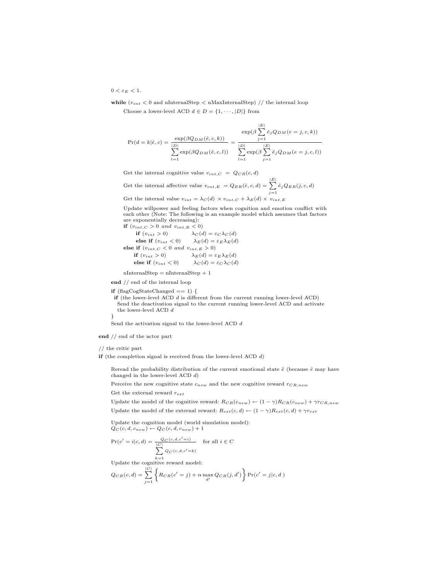$0<\varepsilon_E<1.$ 

while  $(v_{int} < 0$  and nInternalStep  $<$  nMaxInternalStep) // the internal loop Choose a lower-level ACD  $d \in D = \{1, \dots, |D|\}$  from

$$
\Pr(d = k | \hat{e}, c) = \frac{\exp(\beta Q_{DM}(\hat{e}, c, k))}{\sum_{l=1}^{|D|} \exp(\beta Q_{DM}(\hat{e}, c, l))} = \frac{\exp(\beta \sum_{j=1}^{|E|} \hat{e}_j Q_{DM}(e = j, c, k))}{\sum_{l=1}^{|D|} \exp(\beta \sum_{j=1}^{|E|} \hat{e}_j Q_{DM}(e = j, c, l))}
$$

Get the internal cognitive value  $v_{int,C} = Q_{CR}(c, d)$ 

Get the internal affective value  $v_{int,E} = Q_{ER}(\hat{e}, c, d) = \sum_{i=1}^{|E|}$  $j=1$  $\hat{e}_jQ_{ER}(j, c, d)$ 

Get the internal value  $v_{int} = \lambda_C(d) \times v_{int,C} + \lambda_E(d) \times v_{int,E}$ 

Update willpower and feeling factors when cognition and emotion conflict with each other (Note: The following is an example model which assumes that factors are exponentially decreasing): if  $(v_{int,C} > 0$  and  $v_{int,E} < 0$ )

| $\mathbf{u}$ ( <i>vint.</i> $\epsilon > 0$ <i>under vint. E <math>\epsilon &gt; 0</math></i> ) |                                             |
|------------------------------------------------------------------------------------------------|---------------------------------------------|
| if $(v_{int} > 0)$                                                                             | $\lambda_C(d) = \varepsilon_C \lambda_C(d)$ |
| else if $(v_{int} < 0)$                                                                        | $\lambda_E(d) = \varepsilon_E \lambda_E(d)$ |
| else if $(v_{int,C} < 0$ and $v_{int,E} > 0)$                                                  |                                             |
| if $(v_{int} > 0)$                                                                             | $\lambda_E(d) = \varepsilon_E \lambda_E(d)$ |
| else if $(v_{int} < 0)$                                                                        | $\lambda_C(d) = \varepsilon_C \lambda_C(d)$ |

 $n[internalStep = n[internalStep + 1]$ 

### end // end of the internal loop

```
if (\text{flagCogStateChanged} == 1) {
```
if (the lower-level ACD  $d$  is different from the current running lower-level ACD) Send the deactivation signal to the current running lower-level ACD and activate the lower-level ACD  $\boldsymbol{d}$ }

Send the activation signal to the lower-level ACD d

#### end // end of the actor part

#### // the critic part

if (the completion signal is received from the lower-level ACD  $d$ )

Reread the probability distribution of the current emotional state  $\hat{e}$  (because  $\hat{e}$  may have changed in the lower-level ACD d)

Perceive the new cognitive state  $c_{new}$  and the new cognitive reward  $r_{CR,new}$ 

Get the external reward  $r_{ext}$ 

Update the model of the cognitive reward:  $R_{CR}(c_{new}) \leftarrow (1 - \gamma)R_{CR}(c_{new}) + \gamma r_{CR,new}$ Update the model of the external reward:  $R_{ext}(c, d) \leftarrow (1 - \gamma)R_{ext}(c, d) + \gamma r_{ext}$ 

Update the cognition model (world simulation model):  $Q_C(c, d, c_{new}) \leftarrow Q_C(c, d, c_{new}) + 1$ 

$$
\Pr(c'=i|c,d) = \frac{\frac{Q_C(c,d,c'=i)}{|C|}}{\sum\limits_{k=1}^{|C|} Q_C(c,d,c'=k)} \quad \text{for all } i \in C
$$

Update the cognitive reward model:

$$
Q_{CR}(c,d) = \sum_{j=1}^{|C|} \left\{ R_{CR}(c' = j) + \alpha \max_{d'} Q_{CR}(j, d') \right\} \Pr(c' = j | c, d)
$$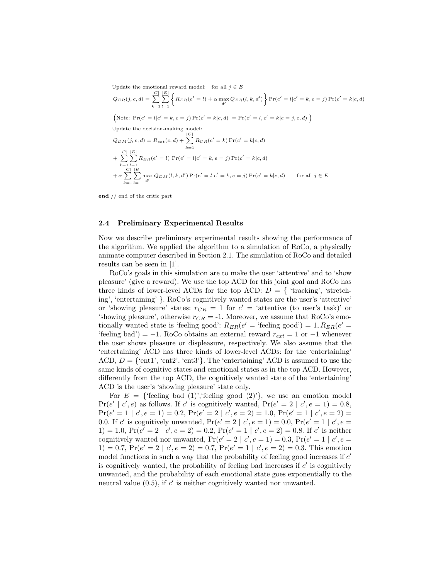Update the emotional reward model: for all  $j \in E$  $Q_{ER}(j, c, d) = \sum^{|C|}$  $\sum_{k=1}^{|C|} \sum_{l=1}^{|E|}$  $l=1$  $\left\{ R_{ER}(e'=l) + \alpha \max_{d'} Q_{ER}(l,k,d') \right\} \Pr(e'=l|c'=k,e=j) \Pr(c'=k|c,d)$ (Note:  $Pr(e' = l | c' = k, e = j) Pr(c' = k | c, d) = Pr(e' = l, c' = k | e = j, c, d)$ ) Update the decision-making model:  $Q_{DM}(j, c, d) = R_{ext}(c, d) + \sum_{i=1}^{|C|}$  $k=1$  $R_{CR}(c' = k) Pr(c' = k|c, d)$  $+\sum^{|C|}$  $\sum_{k=1}^{|C|} \sum_{l=1}^{|E|}$  $l=1$  $R_{ER}(e'=l) \Pr(e'=l|c'=k, e=j) \Pr(c'=k|c, d)$  $+\alpha \sum^{|C|}$  $\sum_{k=1}^{|C|} \sum_{l=1}^{|E|}$  $l=1$  $\max_{d'} Q_{DM}(l, k, d') \Pr(e' = l | c' = k, e = j) \Pr(c' = k | c, d)$  for all  $j \in E$ 

end // end of the critic part

### 2.4 Preliminary Experimental Results

Now we describe preliminary experimental results showing the performance of the algorithm. We applied the algorithm to a simulation of RoCo, a physically animate computer described in Section 2.1. The simulation of RoCo and detailed results can be seen in [1].

RoCo's goals in this simulation are to make the user 'attentive' and to 'show pleasure' (give a reward). We use the top ACD for this joint goal and RoCo has three kinds of lower-level ACDs for the top ACD:  $D = \{$  'tracking', 'stretching', 'entertaining' }. RoCo's cognitively wanted states are the user's 'attentive' or 'showing pleasure' states:  $r_{CR} = 1$  for  $c' =$  'attentive (to user's task)' or 'showing pleasure', otherwise  $r_{CR} = -1$ . Moreover, we assume that RoCo's emotionally wanted state is 'feeling good':  $R_{ER}(e' =$  'feeling good') = 1,  $R_{ER}(e' =$ 'feeling bad') = −1. RoCo obtains an external reward  $r_{ext} = 1$  or −1 whenever the user shows pleasure or displeasure, respectively. We also assume that the 'entertaining' ACD has three kinds of lower-level ACDs: for the 'entertaining' ACD,  $D = \{$  'ent1', 'ent2', 'ent3'}. The 'entertaining' ACD is assumed to use the same kinds of cognitive states and emotional states as in the top ACD. However, differently from the top ACD, the cognitively wanted state of the 'entertaining' ACD is the user's 'showing pleasure' state only.

For  $E = \{$ <sup>t</sup>feeling bad (1)', the feeling good (2)'}, we use an emotion model  $Pr(e' | c', e)$  as follows. If c' is cognitively wanted,  $Pr(e' = 2 | c', e = 1) = 0.8$ ,  $Pr(e' = 1 | c', e = 1) = 0.2, Pr(e' = 2 | c', e = 2) = 1.0, Pr(e' = 1 | c', e = 2) =$ 0.0. If c' is cognitively unwanted,  $Pr(e' = 2 | c', e = 1) = 0.0, Pr(e' = 1 | c', e = 1)$ 1) = 1.0,  $Pr(e' = 2 | c', e = 2) = 0.2$ ,  $Pr(e' = 1 | c', e = 2) = 0.8$ . If c' is neither cognitively wanted nor unwanted,  $Pr(e' = 2 | c', e = 1) = 0.3$ ,  $Pr(e' = 1 | c', e = 1)$ 1) = 0.7,  $Pr(e' = 2 | c', e = 2) = 0.7$ ,  $Pr(e' = 1 | c', e = 2) = 0.3$ . This emotion model functions in such a way that the probability of feeling good increases if  $c'$ is cognitively wanted, the probability of feeling bad increases if  $c'$  is cognitively unwanted, and the probability of each emotional state goes exponentially to the neutral value  $(0.5)$ , if  $c'$  is neither cognitively wanted nor unwanted.